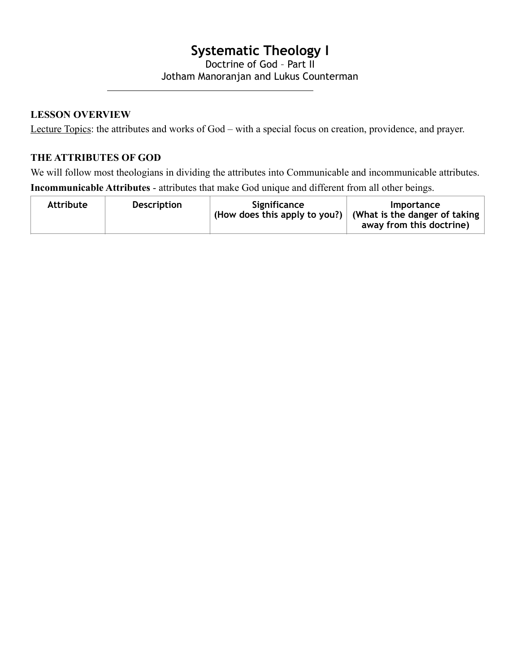# **Systematic Theology I**

Doctrine of God – Part II Jotham Manoranjan and Lukus Counterman

## **LESSON OVERVIEW**

Lecture Topics: the attributes and works of God – with a special focus on creation, providence, and prayer.

### **THE ATTRIBUTES OF GOD**

We will follow most theologians in dividing the attributes into Communicable and incommunicable attributes. **Incommunicable Attributes** - attributes that make God unique and different from all other beings.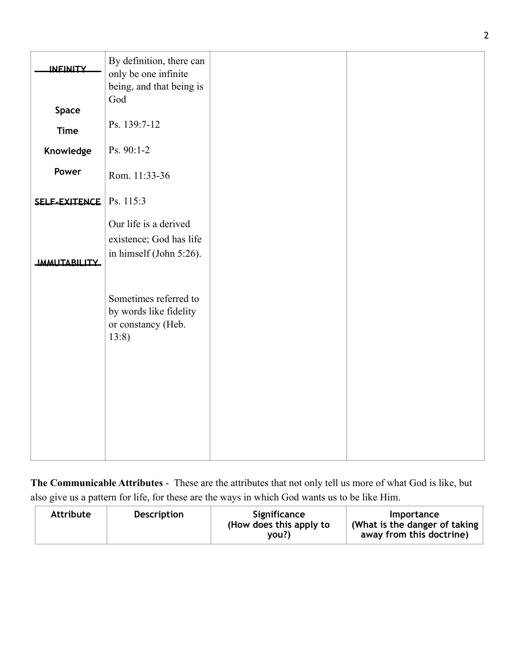| <b>INEINITY</b><br>Space | By definition, there can<br>only be one infinite<br>being, and that being is<br>God |  |
|--------------------------|-------------------------------------------------------------------------------------|--|
| <b>Time</b>              | Ps. 139:7-12                                                                        |  |
| Knowledge                | Ps. 90:1-2                                                                          |  |
| Power                    | Rom. 11:33-36                                                                       |  |
| SELF-EXITENCE            | Ps. 115:3                                                                           |  |
| <b>IMMUTABILITY</b>      | Our life is a derived<br>existence; God has life<br>in himself (John 5:26).         |  |
|                          | Sometimes referred to<br>by words like fidelity<br>or constancy (Heb.<br>13:8)      |  |

**The Communicable Attributes** - These are the attributes that not only tell us more of what God is like, but also give us a pattern for life, for these are the ways in which God wants us to be like Him.

| <b>Attribute</b><br><b>Description</b> | Significance<br>(How does this apply to<br>vou?) | <b>Importance</b><br>(What is the danger of taking)<br>away from this doctrine) |
|----------------------------------------|--------------------------------------------------|---------------------------------------------------------------------------------|
|----------------------------------------|--------------------------------------------------|---------------------------------------------------------------------------------|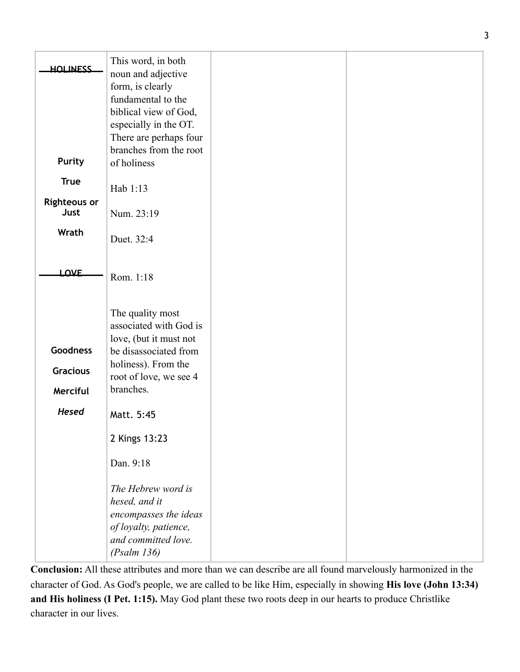| <b>HOLINESS</b>     | This word, in both<br>noun and adjective |  |
|---------------------|------------------------------------------|--|
|                     | form, is clearly                         |  |
|                     | fundamental to the                       |  |
|                     | biblical view of God,                    |  |
|                     | especially in the OT.                    |  |
|                     | There are perhaps four                   |  |
|                     | branches from the root                   |  |
| <b>Purity</b>       | of holiness                              |  |
|                     |                                          |  |
| <b>True</b>         | Hab 1:13                                 |  |
| <b>Righteous or</b> |                                          |  |
| Just                | Num. 23:19                               |  |
|                     |                                          |  |
| Wrath               | Duet. 32:4                               |  |
|                     |                                          |  |
|                     |                                          |  |
| <b>LOVE</b>         | Rom. 1:18                                |  |
|                     |                                          |  |
|                     |                                          |  |
|                     | The quality most                         |  |
|                     | associated with God is                   |  |
|                     | love, (but it must not                   |  |
| <b>Goodness</b>     | be disassociated from                    |  |
|                     | holiness). From the                      |  |
| <b>Gracious</b>     | root of love, we see 4                   |  |
| Merciful            | branches.                                |  |
|                     |                                          |  |
| <b>Hesed</b>        | Matt. 5:45                               |  |
|                     |                                          |  |
|                     | 2 Kings 13:23                            |  |
|                     |                                          |  |
|                     | Dan. 9:18                                |  |
|                     |                                          |  |
|                     | The Hebrew word is                       |  |
|                     | hesed, and it                            |  |
|                     | encompasses the ideas                    |  |
|                     | of loyalty, patience,                    |  |
|                     | and committed love.                      |  |
|                     | (Psalm 136)                              |  |

**Conclusion:** All these attributes and more than we can describe are all found marvelously harmonized in the character of God. As God's people, we are called to be like Him, especially in showing **His love (John 13:34) and His holiness (I Pet. 1:15).** May God plant these two roots deep in our hearts to produce Christlike character in our lives.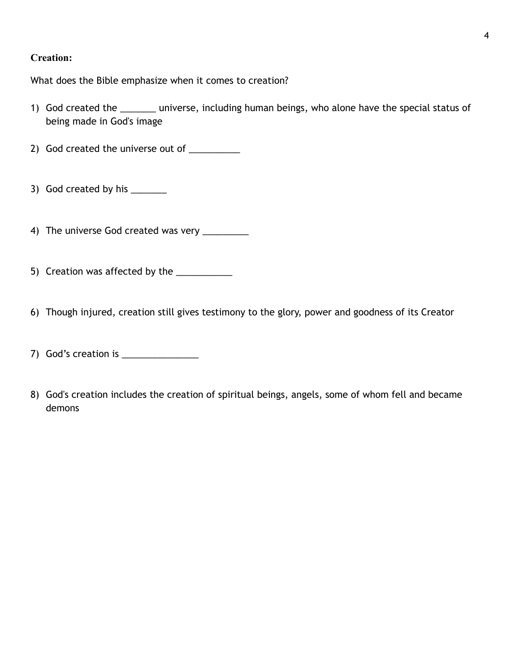#### **Creation:**

What does the Bible emphasize when it comes to creation?

1) God created the \_\_\_\_\_\_\_ universe, including human beings, who alone have the special status of being made in God's image

2) God created the universe out of \_\_\_\_\_\_\_\_\_\_

3) God created by his \_\_\_\_\_\_\_

4) The universe God created was very \_\_\_\_\_\_\_\_\_\_

5) Creation was affected by the \_\_\_\_\_\_\_\_\_\_\_\_

6) Though injured, creation still gives testimony to the glory, power and goodness of its Creator

- 7) God's creation is  $\frac{1}{2}$  and  $\frac{1}{2}$  and  $\frac{1}{2}$  and  $\frac{1}{2}$  and  $\frac{1}{2}$  and  $\frac{1}{2}$  and  $\frac{1}{2}$  and  $\frac{1}{2}$  and  $\frac{1}{2}$  and  $\frac{1}{2}$  and  $\frac{1}{2}$  and  $\frac{1}{2}$  and  $\frac{1}{2}$  and  $\frac{1}{2}$  and  $\frac{$
- 8) God's creation includes the creation of spiritual beings, angels, some of whom fell and became demons